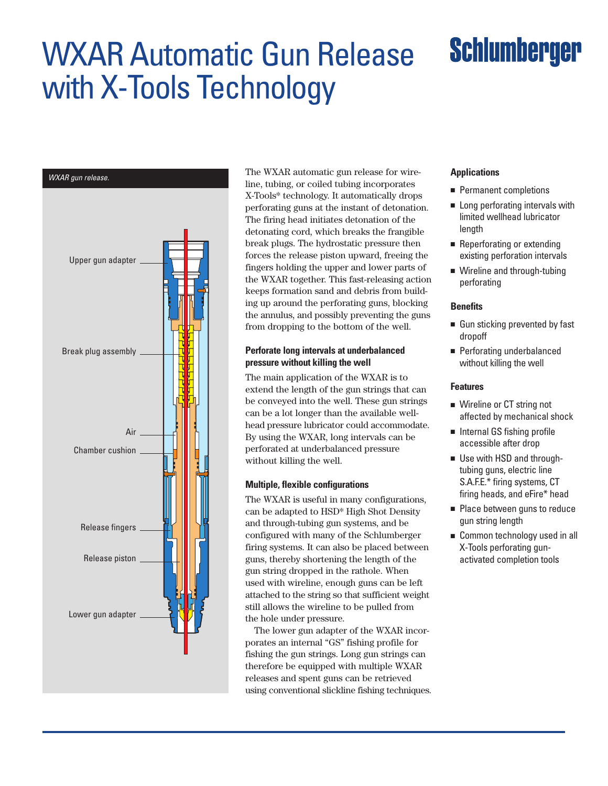## WXAR Automatic Gun Release with X-Tools Technology

# **Schlumberger**



The WXAR automatic gun release for wire-WXAR gun release. **Applications** line, tubing, or coiled tubing incorporates X-Tools\* technology. It automatically drops perforating guns at the instant of detonation. The firing head initiates detonation of the detonating cord, which breaks the frangible break plugs. The hydrostatic pressure then forces the release piston upward, freeing the fingers holding the upper and lower parts of the WXAR together. This fast-releasing action keeps formation sand and debris from building up around the perforating guns, blocking the annulus, and possibly preventing the guns from dropping to the bottom of the well.

## **Perforate long intervals at underbalanced pressure without killing the well**

The main application of the WXAR is to extend the length of the gun strings that can be conveyed into the well. These gun strings can be a lot longer than the available wellhead pressure lubricator could accommodate. By using the WXAR, long intervals can be perforated at underbalanced pressure without killing the well.

## **Multiple, flexible configurations**

The WXAR is useful in many configurations, can be adapted to HSD\* High Shot Density and through-tubing gun systems, and be configured with many of the Schlumberger firing systems. It can also be placed between guns, thereby shortening the length of the gun string dropped in the rathole. When used with wireline, enough guns can be left attached to the string so that sufficient weight still allows the wireline to be pulled from the hole under pressure.

The lower gun adapter of the WXAR incorporates an internal "GS" fishing profile for fishing the gun strings. Long gun strings can therefore be equipped with multiple WXAR releases and spent guns can be retrieved using conventional slickline fishing techniques.

- Permanent completions
- Long perforating intervals with limited wellhead lubricator length
- Reperforating or extending existing perforation intervals
- Wireline and through-tubing perforating

### **Benefits**

- Gun sticking prevented by fast dropoff
- Perforating underbalanced without killing the well

### **Features**

- Wireline or CT string not affected by mechanical shock
- Internal GS fishing profile accessible after drop
- Use with HSD and throughtubing guns, electric line S.A.F.E.\* firing systems, CT firing heads, and eFire\* head
- Place between guns to reduce gun string length
- Common technology used in all X-Tools perforating gunactivated completion tools